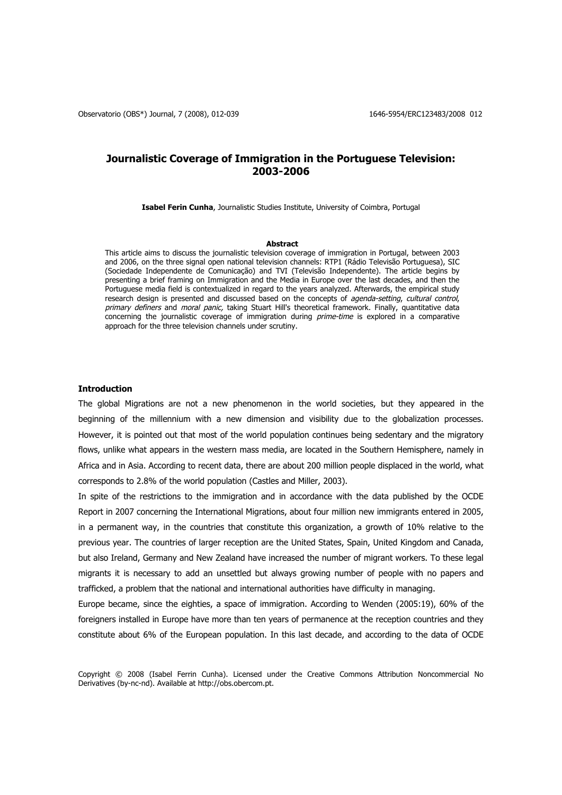# **Journalistic Coverage of Immigration in the Portuguese Television: 2003-2006**

**Isabel Ferin Cunha**, Journalistic Studies Institute, University of Coimbra, Portugal

### **Abstract**

This article aims to discuss the journalistic television coverage of immigration in Portugal, between 2003 and 2006, on the three signal open national television channels: RTP1 (Rádio Televisão Portuguesa), SIC (Sociedade Independente de Comunicação) and TVI (Televisão Independente). The article begins by presenting a brief framing on Immigration and the Media in Europe over the last decades, and then the Portuguese media field is contextualized in regard to the years analyzed. Afterwards, the empirical study research design is presented and discussed based on the concepts of agenda-setting, cultural control, primary definers and moral panic, taking Stuart Hill's theoretical framework. Finally, quantitative data concerning the journalistic coverage of immigration during *prime-time* is explored in a comparative approach for the three television channels under scrutiny.

# **Introduction**

The global Migrations are not a new phenomenon in the world societies, but they appeared in the beginning of the millennium with a new dimension and visibility due to the globalization processes. However, it is pointed out that most of the world population continues being sedentary and the migratory flows, unlike what appears in the western mass media, are located in the Southern Hemisphere, namely in Africa and in Asia. According to recent data, there are about 200 million people displaced in the world, what corresponds to 2.8% of the world population (Castles and Miller, 2003).

In spite of the restrictions to the immigration and in accordance with the data published by the OCDE Report in 2007 concerning the International Migrations, about four million new immigrants entered in 2005, in a permanent way, in the countries that constitute this organization, a growth of 10% relative to the previous year. The countries of larger reception are the United States, Spain, United Kingdom and Canada, but also Ireland, Germany and New Zealand have increased the number of migrant workers. To these legal migrants it is necessary to add an unsettled but always growing number of people with no papers and trafficked, a problem that the national and international authorities have difficulty in managing.

Europe became, since the eighties, a space of immigration. According to Wenden (2005:19), 60% of the foreigners installed in Europe have more than ten years of permanence at the reception countries and they constitute about 6% of the European population. In this last decade, and according to the data of OCDE

Copyright © 2008 (Isabel Ferrin Cunha). Licensed under the Creative Commons Attribution Noncommercial No Derivatives (by-nc-nd). Available at http://obs.obercom.pt.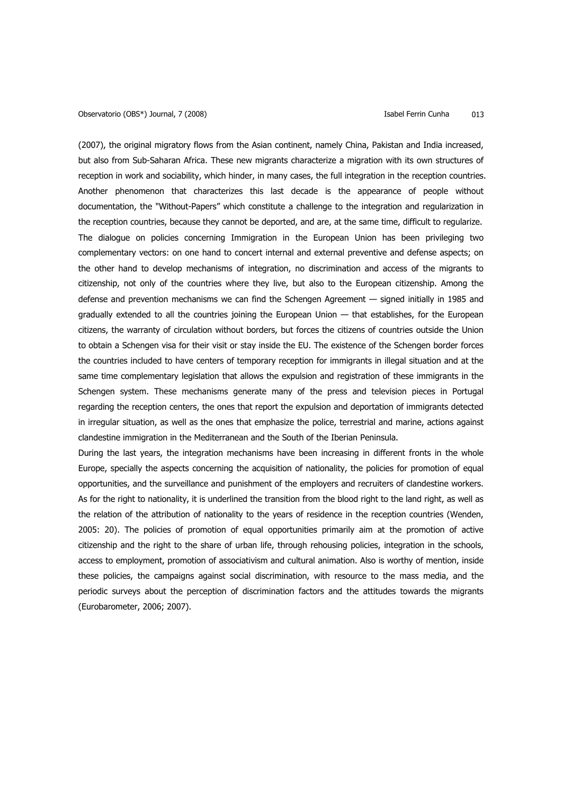(2007), the original migratory flows from the Asian continent, namely China, Pakistan and India increased, but also from Sub-Saharan Africa. These new migrants characterize a migration with its own structures of reception in work and sociability, which hinder, in many cases, the full integration in the reception countries. Another phenomenon that characterizes this last decade is the appearance of people without documentation, the "Without-Papers" which constitute a challenge to the integration and regularization in the reception countries, because they cannot be deported, and are, at the same time, difficult to regularize. The dialogue on policies concerning Immigration in the European Union has been privileging two complementary vectors: on one hand to concert internal and external preventive and defense aspects; on the other hand to develop mechanisms of integration, no discrimination and access of the migrants to citizenship, not only of the countries where they live, but also to the European citizenship. Among the defense and prevention mechanisms we can find the Schengen Agreement — signed initially in 1985 and gradually extended to all the countries joining the European Union — that establishes, for the European citizens, the warranty of circulation without borders, but forces the citizens of countries outside the Union to obtain a Schengen visa for their visit or stay inside the EU. The existence of the Schengen border forces the countries included to have centers of temporary reception for immigrants in illegal situation and at the same time complementary legislation that allows the expulsion and registration of these immigrants in the Schengen system. These mechanisms generate many of the press and television pieces in Portugal regarding the reception centers, the ones that report the expulsion and deportation of immigrants detected in irregular situation, as well as the ones that emphasize the police, terrestrial and marine, actions against clandestine immigration in the Mediterranean and the South of the Iberian Peninsula.

During the last years, the integration mechanisms have been increasing in different fronts in the whole Europe, specially the aspects concerning the acquisition of nationality, the policies for promotion of equal opportunities, and the surveillance and punishment of the employers and recruiters of clandestine workers. As for the right to nationality, it is underlined the transition from the blood right to the land right, as well as the relation of the attribution of nationality to the years of residence in the reception countries (Wenden, 2005: 20). The policies of promotion of equal opportunities primarily aim at the promotion of active citizenship and the right to the share of urban life, through rehousing policies, integration in the schools, access to employment, promotion of associativism and cultural animation. Also is worthy of mention, inside these policies, the campaigns against social discrimination, with resource to the mass media, and the periodic surveys about the perception of discrimination factors and the attitudes towards the migrants (Eurobarometer, 2006; 2007).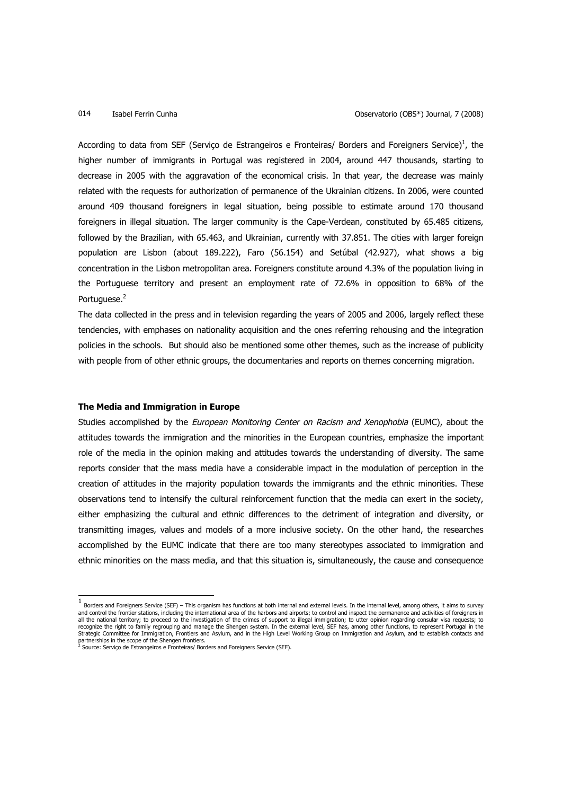According to data from SEF (Serviço de Estrangeiros e Fronteiras/ Borders and Foreigners Service)<sup>1</sup>, the higher number of immigrants in Portugal was registered in 2004, around 447 thousands, starting to decrease in 2005 with the aggravation of the economical crisis. In that year, the decrease was mainly related with the requests for authorization of permanence of the Ukrainian citizens. In 2006, were counted around 409 thousand foreigners in legal situation, being possible to estimate around 170 thousand foreigners in illegal situation. The larger community is the Cape-Verdean, constituted by 65.485 citizens, followed by the Brazilian, with 65.463, and Ukrainian, currently with 37.851. The cities with larger foreign population are Lisbon (about 189.222), Faro (56.154) and Setúbal (42.927), what shows a big concentration in the Lisbon metropolitan area. Foreigners constitute around 4.3% of the population living in the Portuguese territory and present an employment rate of 72.6% in opposition to 68% of the Portuguese.<sup>2</sup>

The data collected in the press and in television regarding the years of 2005 and 2006, largely reflect these tendencies, with emphases on nationality acquisition and the ones referring rehousing and the integration policies in the schools. But should also be mentioned some other themes, such as the increase of publicity with people from of other ethnic groups, the documentaries and reports on themes concerning migration.

# **The Media and Immigration in Europe**

Studies accomplished by the *European Monitoring Center on Racism and Xenophobia* (EUMC), about the attitudes towards the immigration and the minorities in the European countries, emphasize the important role of the media in the opinion making and attitudes towards the understanding of diversity. The same reports consider that the mass media have a considerable impact in the modulation of perception in the creation of attitudes in the majority population towards the immigrants and the ethnic minorities. These observations tend to intensify the cultural reinforcement function that the media can exert in the society, either emphasizing the cultural and ethnic differences to the detriment of integration and diversity, or transmitting images, values and models of a more inclusive society. On the other hand, the researches accomplished by the EUMC indicate that there are too many stereotypes associated to immigration and ethnic minorities on the mass media, and that this situation is, simultaneously, the cause and consequence

<sup>&</sup>lt;u>.</u><br>1 Borders and Foreigners Service (SEF) – This organism has functions at both internal and external levels. In the internal level, among others, it aims to survey and control the frontier stations, including the international area of the harbors and airports; to control and inspect the permanence and activities of foreigners in all the national territory; to proceed to the investigation of the crimes of support to illegal immigration; to utter opinion regarding consular visa requests; to<br>recognize the right to family regrouping and manage the She partnerships in the scope of the Shengen frontiers.<br><sup>2</sup> Source: Serviço de Estrangeiros e Fronteiras/ Borders and Foreigners Service (SEF).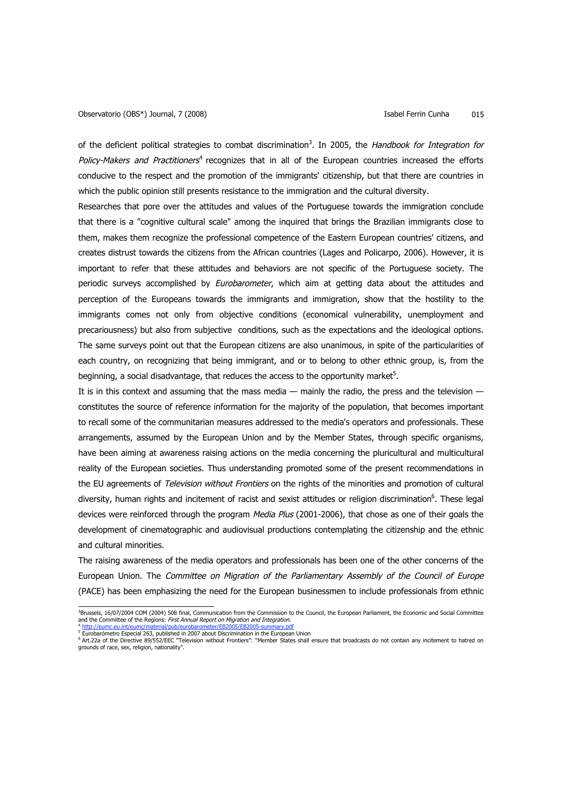of the deficient political strategies to combat discrimination<sup>3</sup>. In 2005, the Handbook for Integration for Policy-Makers and Practitioners<sup>4</sup> recognizes that in all of the European countries increased the efforts conducive to the respect and the promotion of the immigrants' citizenship, but that there are countries in which the public opinion still presents resistance to the immigration and the cultural diversity.

Researches that pore over the attitudes and values of the Portuguese towards the immigration conclude that there is a "cognitive cultural scale" among the inquired that brings the Brazilian immigrants close to them, makes them recognize the professional competence of the Eastern European countries' citizens, and creates distrust towards the citizens from the African countries (Lages and Policarpo, 2006). However, it is important to refer that these attitudes and behaviors are not specific of the Portuguese society. The periodic surveys accomplished by *Eurobarometer*, which aim at getting data about the attitudes and perception of the Europeans towards the immigrants and immigration, show that the hostility to the immigrants comes not only from objective conditions (economical vulnerability, unemployment and precariousness) but also from subjective conditions, such as the expectations and the ideological options. The same surveys point out that the European citizens are also unanimous, in spite of the particularities of each country, on recognizing that being immigrant, and or to belong to other ethnic group, is, from the beginning, a social disadvantage, that reduces the access to the opportunity market<sup>5</sup>.

It is in this context and assuming that the mass media — mainly the radio, the press and the television constitutes the source of reference information for the majority of the population, that becomes important to recall some of the communitarian measures addressed to the media's operators and professionals. These arrangements, assumed by the European Union and by the Member States, through specific organisms, have been aiming at awareness raising actions on the media concerning the pluricultural and multicultural reality of the European societies. Thus understanding promoted some of the present recommendations in the EU agreements of Television without Frontiers on the rights of the minorities and promotion of cultural diversity, human rights and incitement of racist and sexist attitudes or religion discrimination<sup>6</sup>. These legal devices were reinforced through the program Media Plus (2001-2006), that chose as one of their goals the development of cinematographic and audiovisual productions contemplating the citizenship and the ethnic and cultural minorities.

The raising awareness of the media operators and professionals has been one of the other concerns of the European Union. The Committee on Migration of the Parliamentary Assembly of the Council of Europe (PACE) has been emphasizing the need for the European businessmen to include professionals from ethnic

 <sup>3</sup> Brussels, 16/07/2004 COM (2004) 508 final, Communication from the Commission to the Council, the European Parliament, the Economic and Social Committee and the Committee of the Regions: *First Annual Report on Migration and Integration.*<br><sup>4</sup> <u>http://eumc.eu.int/eumc/material/pub/eurobarometer/EB2005/EB2005-summary.pdf</u>

<sup>&</sup>lt;sup>5</sup> Eurobarómetro Especial 263, published in 2007 about Discrimination in the European Union

<sup>&</sup>lt;sup>6</sup> Art.22a of the Directive 89/552/EEC "Television without Frontiers": "Member States shall ensure that broadcasts do not contain any incitement to hatred on<br>grounds of race, sex, religion, nationality".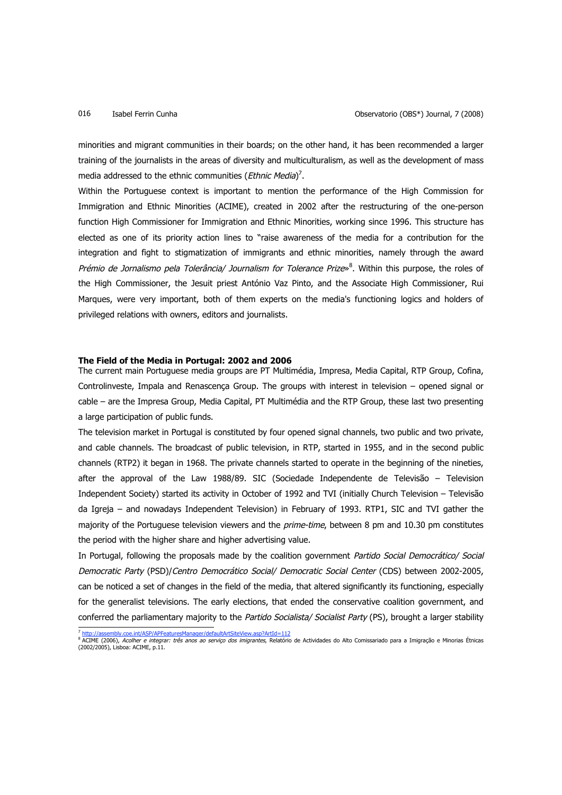minorities and migrant communities in their boards; on the other hand, it has been recommended a larger training of the journalists in the areas of diversity and multiculturalism, as well as the development of mass media addressed to the ethnic communities (Ethnic Media)<sup>7</sup>.

Within the Portuguese context is important to mention the performance of the High Commission for Immigration and Ethnic Minorities (ACIME), created in 2002 after the restructuring of the one-person function High Commissioner for Immigration and Ethnic Minorities, working since 1996. This structure has elected as one of its priority action lines to "raise awareness of the media for a contribution for the integration and fight to stigmatization of immigrants and ethnic minorities, namely through the award Prémio de Jornalismo pela Tolerância/ Journalism for Tolerance Prize»<sup>8</sup>. Within this purpose, the roles of the High Commissioner, the Jesuit priest António Vaz Pinto, and the Associate High Commissioner, Rui Marques, were very important, both of them experts on the media's functioning logics and holders of privileged relations with owners, editors and journalists.

### **The Field of the Media in Portugal: 2002 and 2006**

The current main Portuguese media groups are PT Multimédia, Impresa, Media Capital, RTP Group, Cofina, Controlinveste, Impala and Renascença Group. The groups with interest in television – opened signal or cable – are the Impresa Group, Media Capital, PT Multimédia and the RTP Group, these last two presenting a large participation of public funds.

The television market in Portugal is constituted by four opened signal channels, two public and two private, and cable channels. The broadcast of public television, in RTP, started in 1955, and in the second public channels (RTP2) it began in 1968. The private channels started to operate in the beginning of the nineties, after the approval of the Law 1988/89. SIC (Sociedade Independente de Televisão – Television Independent Society) started its activity in October of 1992 and TVI (initially Church Television – Televisão da Igreja – and nowadays Independent Television) in February of 1993. RTP1, SIC and TVI gather the majority of the Portuguese television viewers and the *prime-time*, between 8 pm and 10.30 pm constitutes the period with the higher share and higher advertising value.

In Portugal, following the proposals made by the coalition government Partido Social Democrático/ Social Democratic Party (PSD)/Centro Democrático Social/ Democratic Social Center (CDS) between 2002-2005, can be noticed a set of changes in the field of the media, that altered significantly its functioning, especially for the generalist televisions. The early elections, that ended the conservative coalition government, and conferred the parliamentary majority to the Partido Socialista/ Socialist Party (PS), brought a larger stability

 <sup>7</sup> http://assembly.coe.int/ASP/APFeaturesManager/defaultArtSiteView.asp?ArtId=112

<sup>&</sup>lt;sup>8</sup> ACIME (2006)*, Acolher e integrar: três anos ao serviço dos imigrantes,* Relatório de Actividades do Alto Comissariado para a Imigração e Minorias Étnicas<br>(2002/2005), Lisboa: ACIME, p.11.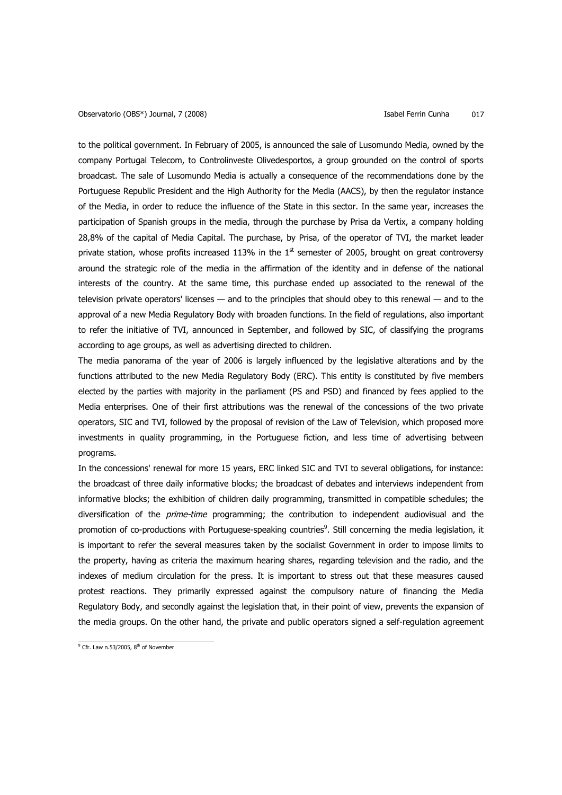to the political government. In February of 2005, is announced the sale of Lusomundo Media, owned by the company Portugal Telecom, to Controlinveste Olivedesportos, a group grounded on the control of sports broadcast. The sale of Lusomundo Media is actually a consequence of the recommendations done by the Portuguese Republic President and the High Authority for the Media (AACS), by then the regulator instance of the Media, in order to reduce the influence of the State in this sector. In the same year, increases the participation of Spanish groups in the media, through the purchase by Prisa da Vertix, a company holding 28,8% of the capital of Media Capital. The purchase, by Prisa, of the operator of TVI, the market leader private station, whose profits increased 113% in the  $1<sup>st</sup>$  semester of 2005, brought on great controversy around the strategic role of the media in the affirmation of the identity and in defense of the national interests of the country. At the same time, this purchase ended up associated to the renewal of the television private operators' licenses — and to the principles that should obey to this renewal — and to the approval of a new Media Regulatory Body with broaden functions. In the field of regulations, also important to refer the initiative of TVI, announced in September, and followed by SIC, of classifying the programs according to age groups, as well as advertising directed to children.

The media panorama of the year of 2006 is largely influenced by the legislative alterations and by the functions attributed to the new Media Regulatory Body (ERC). This entity is constituted by five members elected by the parties with majority in the parliament (PS and PSD) and financed by fees applied to the Media enterprises. One of their first attributions was the renewal of the concessions of the two private operators, SIC and TVI, followed by the proposal of revision of the Law of Television, which proposed more investments in quality programming, in the Portuguese fiction, and less time of advertising between programs.

In the concessions' renewal for more 15 years, ERC linked SIC and TVI to several obligations, for instance: the broadcast of three daily informative blocks; the broadcast of debates and interviews independent from informative blocks; the exhibition of children daily programming, transmitted in compatible schedules; the diversification of the *prime-time* programming; the contribution to independent audiovisual and the promotion of co-productions with Portuguese-speaking countries<sup>9</sup>. Still concerning the media legislation, it is important to refer the several measures taken by the socialist Government in order to impose limits to the property, having as criteria the maximum hearing shares, regarding television and the radio, and the indexes of medium circulation for the press. It is important to stress out that these measures caused protest reactions. They primarily expressed against the compulsory nature of financing the Media Regulatory Body, and secondly against the legislation that, in their point of view, prevents the expansion of the media groups. On the other hand, the private and public operators signed a self-regulation agreement

 $^{9}$  Cfr. Law n.53/2005, 8<sup>th</sup> of November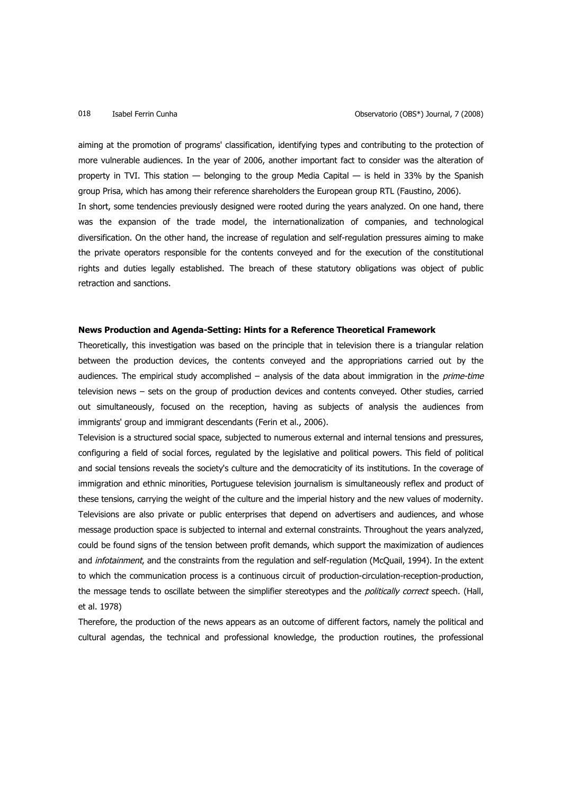aiming at the promotion of programs' classification, identifying types and contributing to the protection of more vulnerable audiences. In the year of 2006, another important fact to consider was the alteration of property in TVI. This station — belonging to the group Media Capital — is held in 33% by the Spanish group Prisa, which has among their reference shareholders the European group RTL (Faustino, 2006). In short, some tendencies previously designed were rooted during the years analyzed. On one hand, there was the expansion of the trade model, the internationalization of companies, and technological diversification. On the other hand, the increase of regulation and self-regulation pressures aiming to make the private operators responsible for the contents conveyed and for the execution of the constitutional rights and duties legally established. The breach of these statutory obligations was object of public retraction and sanctions.

# **News Production and Agenda-Setting: Hints for a Reference Theoretical Framework**

Theoretically, this investigation was based on the principle that in television there is a triangular relation between the production devices, the contents conveyed and the appropriations carried out by the audiences. The empirical study accomplished  $-$  analysis of the data about immigration in the *prime-time* television news – sets on the group of production devices and contents conveyed. Other studies, carried out simultaneously, focused on the reception, having as subjects of analysis the audiences from immigrants' group and immigrant descendants (Ferin et al., 2006).

Television is a structured social space, subjected to numerous external and internal tensions and pressures, configuring a field of social forces, regulated by the legislative and political powers. This field of political and social tensions reveals the society's culture and the democraticity of its institutions. In the coverage of immigration and ethnic minorities, Portuguese television journalism is simultaneously reflex and product of these tensions, carrying the weight of the culture and the imperial history and the new values of modernity. Televisions are also private or public enterprises that depend on advertisers and audiences, and whose message production space is subjected to internal and external constraints. Throughout the years analyzed, could be found signs of the tension between profit demands, which support the maximization of audiences and infotainment, and the constraints from the regulation and self-regulation (McQuail, 1994). In the extent to which the communication process is a continuous circuit of production-circulation-reception-production, the message tends to oscillate between the simplifier stereotypes and the *politically correct* speech. (Hall, et al. 1978)

Therefore, the production of the news appears as an outcome of different factors, namely the political and cultural agendas, the technical and professional knowledge, the production routines, the professional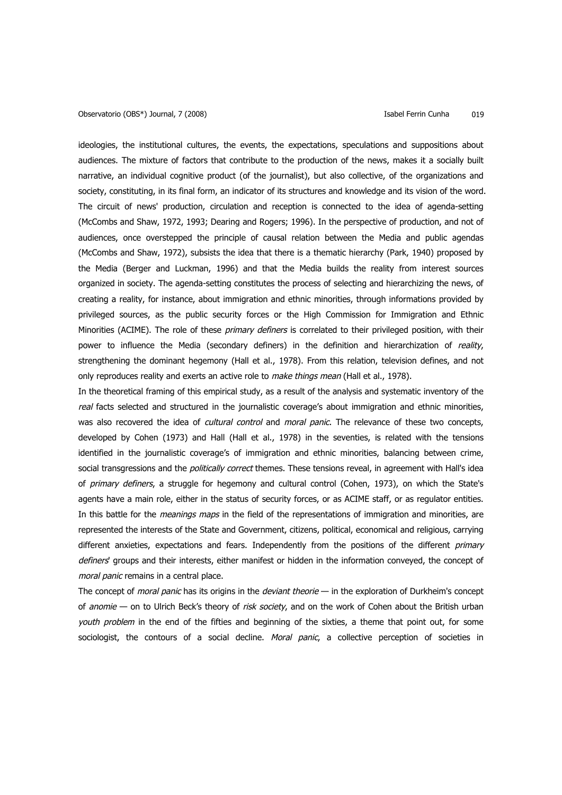### Observatorio (OBS\*) Journal, 7 (2008) Isabel Ferrin Cunha 019

ideologies, the institutional cultures, the events, the expectations, speculations and suppositions about audiences. The mixture of factors that contribute to the production of the news, makes it a socially built narrative, an individual cognitive product (of the journalist), but also collective, of the organizations and society, constituting, in its final form, an indicator of its structures and knowledge and its vision of the word. The circuit of news' production, circulation and reception is connected to the idea of agenda-setting (McCombs and Shaw, 1972, 1993; Dearing and Rogers; 1996). In the perspective of production, and not of audiences, once overstepped the principle of causal relation between the Media and public agendas (McCombs and Shaw, 1972), subsists the idea that there is a thematic hierarchy (Park, 1940) proposed by the Media (Berger and Luckman, 1996) and that the Media builds the reality from interest sources organized in society. The agenda-setting constitutes the process of selecting and hierarchizing the news, of creating a reality, for instance, about immigration and ethnic minorities, through informations provided by privileged sources, as the public security forces or the High Commission for Immigration and Ethnic Minorities (ACIME). The role of these primary definers is correlated to their privileged position, with their power to influence the Media (secondary definers) in the definition and hierarchization of reality, strengthening the dominant hegemony (Hall et al., 1978). From this relation, television defines, and not only reproduces reality and exerts an active role to *make things mean* (Hall et al., 1978).

In the theoretical framing of this empirical study, as a result of the analysis and systematic inventory of the real facts selected and structured in the journalistic coverage's about immigration and ethnic minorities, was also recovered the idea of *cultural control* and *moral panic*. The relevance of these two concepts, developed by Cohen (1973) and Hall (Hall et al., 1978) in the seventies, is related with the tensions identified in the journalistic coverage's of immigration and ethnic minorities, balancing between crime, social transgressions and the *politically correct* themes. These tensions reveal, in agreement with Hall's idea of primary definers, a struggle for hegemony and cultural control (Cohen, 1973), on which the State's agents have a main role, either in the status of security forces, or as ACIME staff, or as regulator entities. In this battle for the *meanings maps* in the field of the representations of immigration and minorities, are represented the interests of the State and Government, citizens, political, economical and religious, carrying different anxieties, expectations and fears. Independently from the positions of the different *primary* definers' groups and their interests, either manifest or hidden in the information conveyed, the concept of moral panic remains in a central place.

The concept of moral panic has its origins in the deviant theorie — in the exploration of Durkheim's concept of anomie - on to Ulrich Beck's theory of risk society, and on the work of Cohen about the British urban youth problem in the end of the fifties and beginning of the sixties, a theme that point out, for some sociologist, the contours of a social decline. Moral panic, a collective perception of societies in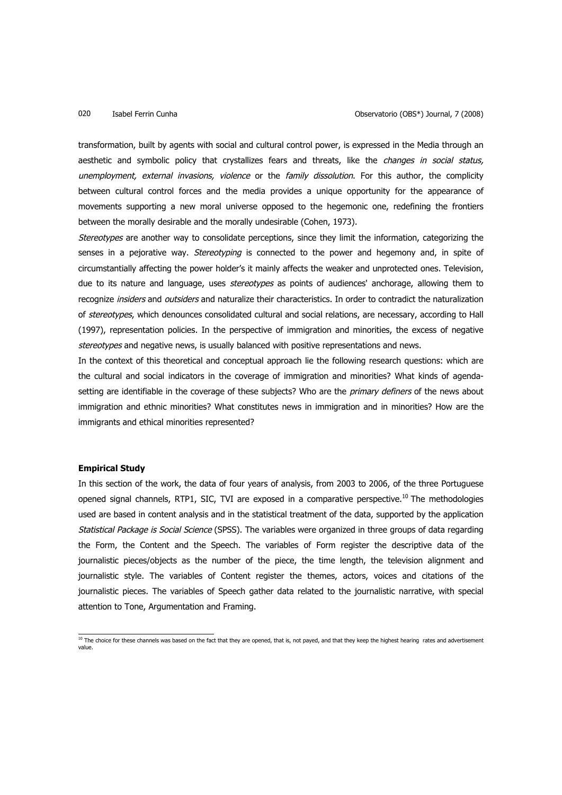transformation, built by agents with social and cultural control power, is expressed in the Media through an aesthetic and symbolic policy that crystallizes fears and threats, like the *changes in social status,* unemployment, external invasions, violence or the family dissolution. For this author, the complicity between cultural control forces and the media provides a unique opportunity for the appearance of movements supporting a new moral universe opposed to the hegemonic one, redefining the frontiers between the morally desirable and the morally undesirable (Cohen, 1973).

Stereotypes are another way to consolidate perceptions, since they limit the information, categorizing the senses in a pejorative way. Stereotyping is connected to the power and hegemony and, in spite of circumstantially affecting the power holder's it mainly affects the weaker and unprotected ones. Television, due to its nature and language, uses *stereotypes* as points of audiences' anchorage, allowing them to recognize insiders and outsiders and naturalize their characteristics. In order to contradict the naturalization of stereotypes, which denounces consolidated cultural and social relations, are necessary, according to Hall (1997), representation policies. In the perspective of immigration and minorities, the excess of negative stereotypes and negative news, is usually balanced with positive representations and news.

In the context of this theoretical and conceptual approach lie the following research questions: which are the cultural and social indicators in the coverage of immigration and minorities? What kinds of agendasetting are identifiable in the coverage of these subjects? Who are the *primary definers* of the news about immigration and ethnic minorities? What constitutes news in immigration and in minorities? How are the immigrants and ethical minorities represented?

### **Empirical Study**

In this section of the work, the data of four years of analysis, from 2003 to 2006, of the three Portuguese opened signal channels, RTP1, SIC, TVI are exposed in a comparative perspective.<sup>10</sup> The methodologies used are based in content analysis and in the statistical treatment of the data, supported by the application Statistical Package is Social Science (SPSS). The variables were organized in three groups of data regarding the Form, the Content and the Speech. The variables of Form register the descriptive data of the journalistic pieces/objects as the number of the piece, the time length, the television alignment and journalistic style. The variables of Content register the themes, actors, voices and citations of the journalistic pieces. The variables of Speech gather data related to the journalistic narrative, with special attention to Tone, Argumentation and Framing.

 $\frac{10}{10}$  The choice for these channels was based on the fact that they are opened, that is, not payed, and that they keep the highest hearing rates and advertisement value.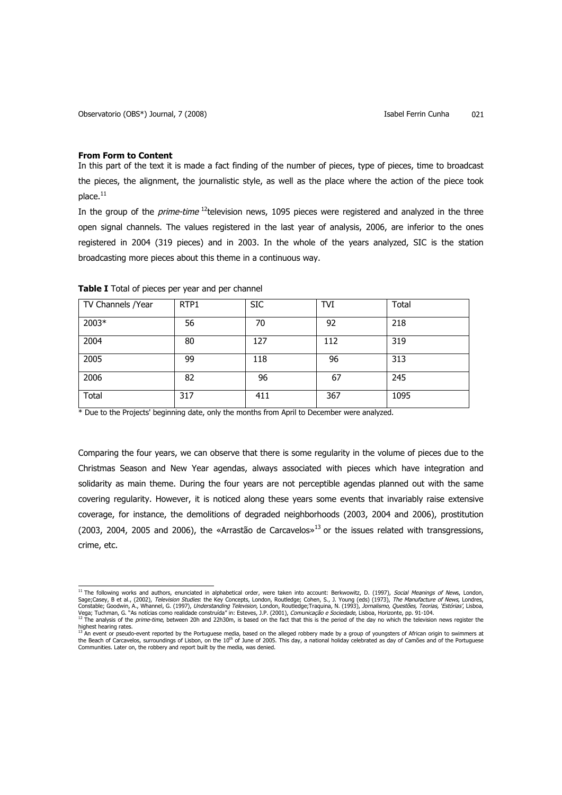### **From Form to Content**

In this part of the text it is made a fact finding of the number of pieces, type of pieces, time to broadcast the pieces, the alignment, the journalistic style, as well as the place where the action of the piece took  $place.<sup>11</sup>$ 

In the group of the *prime-time*  $^{12}$ television news, 1095 pieces were registered and analyzed in the three open signal channels. The values registered in the last year of analysis, 2006, are inferior to the ones registered in 2004 (319 pieces) and in 2003. In the whole of the years analyzed, SIC is the station broadcasting more pieces about this theme in a continuous way.

| TV Channels / Year | RTP1 | <b>SIC</b> | TVI | Total |
|--------------------|------|------------|-----|-------|
| 2003*              | 56   | 70         | 92  | 218   |
| 2004               | 80   | 127        | 112 | 319   |
| 2005               | 99   | 118        | 96  | 313   |
| 2006               | 82   | 96         | 67  | 245   |
| Total              | 317  | 411        | 367 | 1095  |

### **Table I** Total of pieces per year and per channel

\* Due to the Projects' beginning date, only the months from April to December were analyzed.

Comparing the four years, we can observe that there is some regularity in the volume of pieces due to the Christmas Season and New Year agendas, always associated with pieces which have integration and solidarity as main theme. During the four years are not perceptible agendas planned out with the same covering regularity. However, it is noticed along these years some events that invariably raise extensive coverage, for instance, the demolitions of degraded neighborhoods (2003, 2004 and 2006), prostitution (2003, 2004, 2005 and 2006), the «Arrastão de Carcavelos»<sup>13</sup> or the issues related with transgressions, crime, etc.

<sup>&</sup>lt;sup>11</sup> The following works and authors, enunciated in alphabetical order, were taken into account: Berkwowitz, D. (1997), Social Meanings of News, London, Sage;Casey, B et al., (2002), *Television Studies*: the Key Concepts, London, Routledge; Cohen, S., J. Young (eds) (1973), *The Manufacture of News*, Londres,<br>Constable; Goodwin, A., Whannel, G. (1997), *Understanding Tele* highest hearing rates.

<sup>&</sup>lt;sup>13</sup> An event or pseudo-event reported by the Portuguese media, based on the alleged robbery made by a group of youngsters of African origin to swimmers at the Beach of Carcavelos, surroundings of Lisbon, on the 10<sup>th</sup> of June of 2005. This day, a national holiday celebrated as day of Camões and of the Portuguese<br>Communities. Later on, the robbery and report built by the medi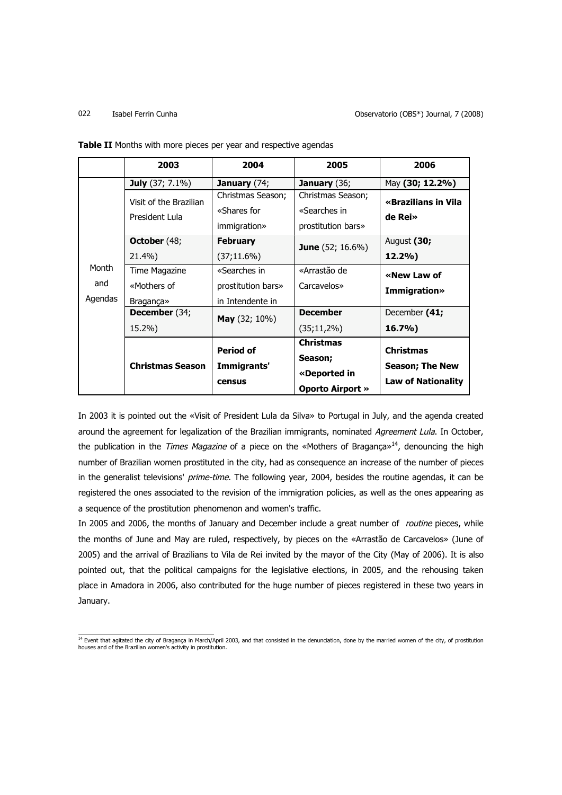### 022 Isabel Ferrin Cunha Observatorio (OBS\*) Journal, 7 (2008)

|         | 2003                                     | 2004                             | 2005                              | 2006                           |
|---------|------------------------------------------|----------------------------------|-----------------------------------|--------------------------------|
|         | <b>July</b> (37; 7.1%)                   | January (74;                     | <b>January</b> $(36)$             | May (30; 12.2%)                |
|         | Visit of the Brazilian<br>President Lula | Christmas Season;<br>«Shares for | Christmas Season;<br>«Searches in | «Brazilians in Vila<br>de Rei» |
|         |                                          | immigration»                     | prostitution bars»                |                                |
|         | <b>October</b> (48;                      | <b>February</b>                  | <b>June</b> (52; 16.6%)           | August (30;                    |
|         | 21.4%)                                   | (37;11.6%)                       |                                   | 12.2%                          |
| Month   | Time Magazine                            | «Searches in                     | «Arrastão de                      | «New Law of                    |
| and     | «Mothers of                              | prostitution bars»               | Carcavelos»                       | <b>Immigration»</b>            |
| Agendas | <b>Bragança</b> »                        | in Intendente in                 |                                   |                                |
|         | December (34;                            | <b>May</b> $(32; 10\%)$          | <b>December</b>                   | December (41;                  |
|         | $15.2\%$                                 |                                  | $(35;11,2\%)$                     | $16.7\%$                       |
|         |                                          | <b>Period of</b>                 | <b>Christmas</b>                  | <b>Christmas</b>               |
|         | <b>Christmas Season</b>                  | Immigrants'                      | Season;                           | <b>Season; The New</b>         |
|         |                                          |                                  | «Deported in                      |                                |
|         |                                          | census                           | <b>Oporto Airport »</b>           | <b>Law of Nationality</b>      |

**Table II** Months with more pieces per year and respective agendas

In 2003 it is pointed out the «Visit of President Lula da Silva» to Portugal in July, and the agenda created around the agreement for legalization of the Brazilian immigrants, nominated Agreement Lula. In October, the publication in the Times Magazine of a piece on the «Mothers of Bragança»<sup>14</sup>, denouncing the high number of Brazilian women prostituted in the city, had as consequence an increase of the number of pieces in the generalist televisions' prime-time. The following year, 2004, besides the routine agendas, it can be registered the ones associated to the revision of the immigration policies, as well as the ones appearing as a sequence of the prostitution phenomenon and women's traffic.

In 2005 and 2006, the months of January and December include a great number of *routine* pieces, while the months of June and May are ruled, respectively, by pieces on the «Arrastão de Carcavelos» (June of 2005) and the arrival of Brazilians to Vila de Rei invited by the mayor of the City (May of 2006). It is also pointed out, that the political campaigns for the legislative elections, in 2005, and the rehousing taken place in Amadora in 2006, also contributed for the huge number of pieces registered in these two years in January.

<sup>&</sup>lt;sup>14</sup> Event that agitated the city of Bragança in March/April 2003, and that consisted in the denunciation, done by the married women of the city, of prostitution<br>houses and of the Brazilian women's activity in prostitution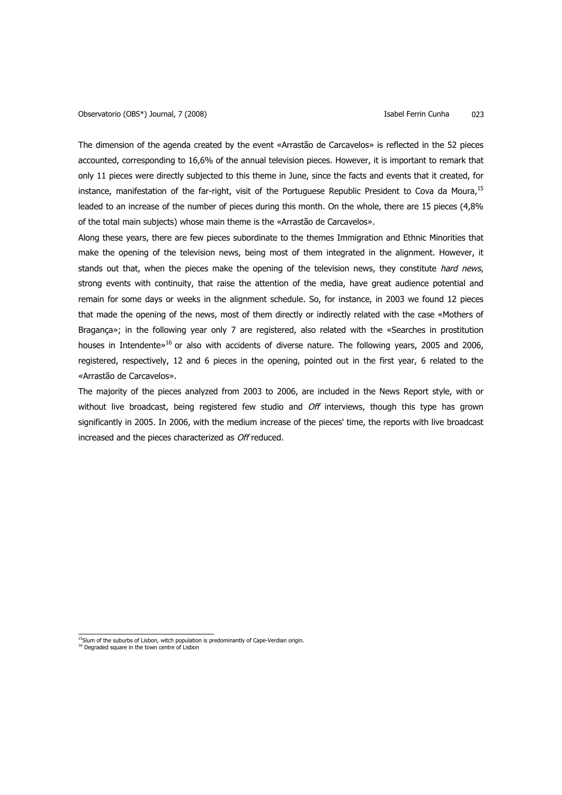The dimension of the agenda created by the event «Arrastão de Carcavelos» is reflected in the 52 pieces accounted, corresponding to 16,6% of the annual television pieces. However, it is important to remark that only 11 pieces were directly subjected to this theme in June, since the facts and events that it created, for instance, manifestation of the far-right, visit of the Portuguese Republic President to Cova da Moura, 15 leaded to an increase of the number of pieces during this month. On the whole, there are 15 pieces (4,8% of the total main subjects) whose main theme is the «Arrastão de Carcavelos».

Along these years, there are few pieces subordinate to the themes Immigration and Ethnic Minorities that make the opening of the television news, being most of them integrated in the alignment. However, it stands out that, when the pieces make the opening of the television news, they constitute hard news, strong events with continuity, that raise the attention of the media, have great audience potential and remain for some days or weeks in the alignment schedule. So, for instance, in 2003 we found 12 pieces that made the opening of the news, most of them directly or indirectly related with the case «Mothers of Bragança»; in the following year only 7 are registered, also related with the «Searches in prostitution houses in Intendente»<sup>16</sup> or also with accidents of diverse nature. The following years, 2005 and 2006, registered, respectively, 12 and 6 pieces in the opening, pointed out in the first year, 6 related to the «Arrastão de Carcavelos».

The majority of the pieces analyzed from 2003 to 2006, are included in the News Report style, with or without live broadcast, being registered few studio and Off interviews, though this type has grown significantly in 2005. In 2006, with the medium increase of the pieces' time, the reports with live broadcast increased and the pieces characterized as Off reduced.

<sup>15&</sup>lt;br>15Slum of the suburbs of Lisbon, witch population is predominantly of Cape-Verdian origin.<br><sup>16</sup> Degraded square in the town centre of Lisbon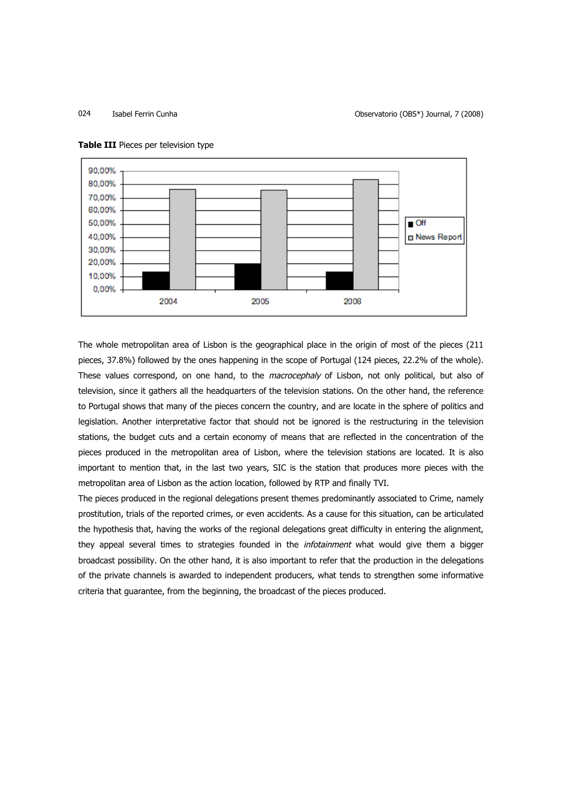024 Isabel Ferrin Cunha Observatorio (OBS\*) Journal, 7 (2008)



### **Table III** Pieces per television type

The whole metropolitan area of Lisbon is the geographical place in the origin of most of the pieces (211 pieces, 37.8%) followed by the ones happening in the scope of Portugal (124 pieces, 22.2% of the whole). These values correspond, on one hand, to the macrocephaly of Lisbon, not only political, but also of television, since it gathers all the headquarters of the television stations. On the other hand, the reference to Portugal shows that many of the pieces concern the country, and are locate in the sphere of politics and legislation. Another interpretative factor that should not be ignored is the restructuring in the television stations, the budget cuts and a certain economy of means that are reflected in the concentration of the pieces produced in the metropolitan area of Lisbon, where the television stations are located. It is also important to mention that, in the last two years, SIC is the station that produces more pieces with the metropolitan area of Lisbon as the action location, followed by RTP and finally TVI.

The pieces produced in the regional delegations present themes predominantly associated to Crime, namely prostitution, trials of the reported crimes, or even accidents. As a cause for this situation, can be articulated the hypothesis that, having the works of the regional delegations great difficulty in entering the alignment, they appeal several times to strategies founded in the *infotainment* what would give them a bigger broadcast possibility. On the other hand, it is also important to refer that the production in the delegations of the private channels is awarded to independent producers, what tends to strengthen some informative criteria that guarantee, from the beginning, the broadcast of the pieces produced.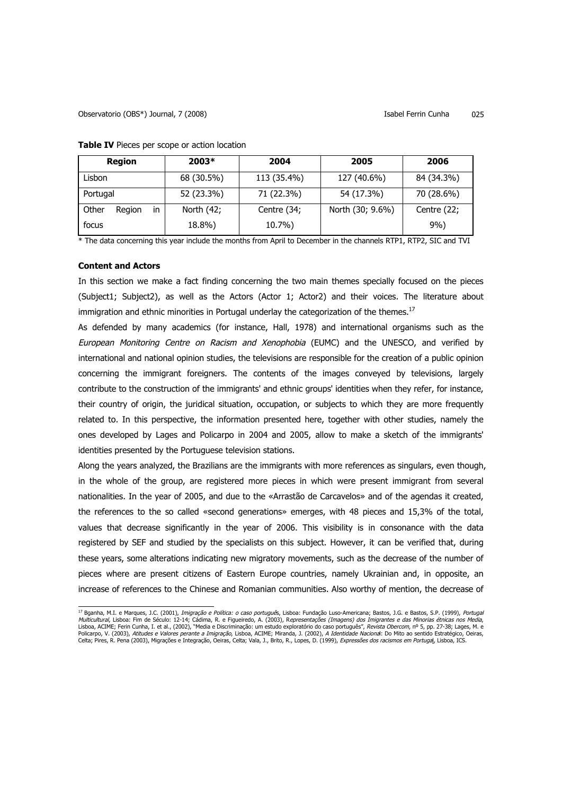# Observatorio (OBS\*) Journal, 7 (2008) Isabel Ferrin Cunha 025

| <b>Region</b>         | 2003*      | 2004        | 2005             | 2006        |
|-----------------------|------------|-------------|------------------|-------------|
| Lisbon                | 68 (30.5%) | 113 (35.4%) | 127 (40.6%)      | 84 (34.3%)  |
| Portugal              | 52 (23.3%) | 71 (22.3%)  | 54 (17.3%)       | 70 (28.6%)  |
| Other<br>in<br>Region | North (42; | Centre (34; | North (30; 9.6%) | Centre (22; |
| focus                 | 18.8%)     | 10.7%)      |                  | $9\%$       |

**Table IV** Pieces per scope or action location

\* The data concerning this year include the months from April to December in the channels RTP1, RTP2, SIC and TVI

# **Content and Actors**

In this section we make a fact finding concerning the two main themes specially focused on the pieces (Subject1; Subject2), as well as the Actors (Actor 1; Actor2) and their voices. The literature about immigration and ethnic minorities in Portugal underlay the categorization of the themes.<sup>17</sup>

As defended by many academics (for instance, Hall, 1978) and international organisms such as the European Monitoring Centre on Racism and Xenophobia (EUMC) and the UNESCO, and verified by international and national opinion studies, the televisions are responsible for the creation of a public opinion concerning the immigrant foreigners. The contents of the images conveyed by televisions, largely contribute to the construction of the immigrants' and ethnic groups' identities when they refer, for instance, their country of origin, the juridical situation, occupation, or subjects to which they are more frequently related to. In this perspective, the information presented here, together with other studies, namely the ones developed by Lages and Policarpo in 2004 and 2005, allow to make a sketch of the immigrants' identities presented by the Portuguese television stations.

Along the years analyzed, the Brazilians are the immigrants with more references as singulars, even though, in the whole of the group, are registered more pieces in which were present immigrant from several nationalities. In the year of 2005, and due to the «Arrastão de Carcavelos» and of the agendas it created, the references to the so called «second generations» emerges, with 48 pieces and 15,3% of the total, values that decrease significantly in the year of 2006. This visibility is in consonance with the data registered by SEF and studied by the specialists on this subject. However, it can be verified that, during these years, some alterations indicating new migratory movements, such as the decrease of the number of pieces where are present citizens of Eastern Europe countries, namely Ukrainian and, in opposite, an increase of references to the Chinese and Romanian communities. Also worthy of mention, the decrease of

<sup>&</sup>lt;sup>17</sup> Bganha, M.I. e Marques, J.C. (2001), *Imigração e Política: o caso portuguê*s, Lisboa: Fundação Luso-Americana; Bastos, J.G. e Bastos, S.P. (1999), Portugal *Multicultural,* Lisboa: Fim de Século: 12-14; Cádima, R. e Figueiredo, A. (2003), R*epresentações (Imagens) dos Imigrantes e das Minorias étnicas nos Media,*<br>Lisboa, ACIME; Ferin Cunha, I. et al., (2002), "Media e Discrim Celta; Pires, R. Pena (2003), Migrações e Integração, Oeiras, Celta; Vala, J., Brito, R., Lopes, D. (1999), Expressões dos racismos em Portugal, Lisboa, ICS.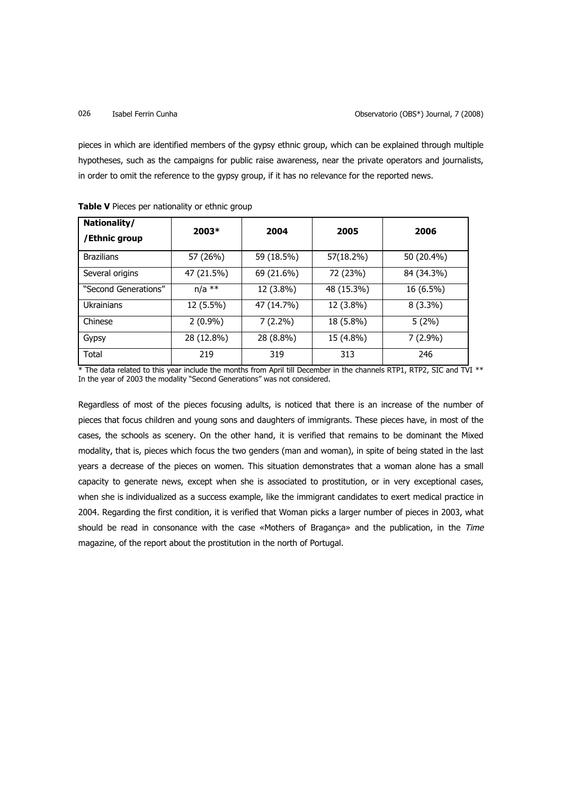pieces in which are identified members of the gypsy ethnic group, which can be explained through multiple hypotheses, such as the campaigns for public raise awareness, near the private operators and journalists, in order to omit the reference to the gypsy group, if it has no relevance for the reported news.

| Nationality/<br>/Ethnic group | $2003*$    | 2004       | 2005       | 2006       |
|-------------------------------|------------|------------|------------|------------|
| <b>Brazilians</b>             | 57 (26%)   | 59 (18.5%) | 57(18.2%)  | 50 (20.4%) |
| Several origins               | 47 (21.5%) | 69 (21.6%) | 72 (23%)   | 84 (34.3%) |
| "Second Generations"          | $n/a$ **   | 12 (3.8%)  | 48 (15.3%) | 16 (6.5%)  |
| <b>Ukrainians</b>             | 12 (5.5%)  | 47 (14.7%) | 12 (3.8%)  | $8(3.3\%)$ |
| Chinese                       | $2(0.9\%)$ | $7(2.2\%)$ | 18 (5.8%)  | 5(2%)      |
| Gypsy                         | 28 (12.8%) | 28 (8.8%)  | 15 (4.8%)  | $7(2.9\%)$ |
| Total                         | 219        | 319        | 313        | 246        |

\* The data related to this year include the months from April till December in the channels RTP1, RTP2, SIC and TVI \*\* In the year of 2003 the modality "Second Generations" was not considered.

Regardless of most of the pieces focusing adults, is noticed that there is an increase of the number of pieces that focus children and young sons and daughters of immigrants. These pieces have, in most of the cases, the schools as scenery. On the other hand, it is verified that remains to be dominant the Mixed modality, that is, pieces which focus the two genders (man and woman), in spite of being stated in the last years a decrease of the pieces on women. This situation demonstrates that a woman alone has a small capacity to generate news, except when she is associated to prostitution, or in very exceptional cases, when she is individualized as a success example, like the immigrant candidates to exert medical practice in 2004. Regarding the first condition, it is verified that Woman picks a larger number of pieces in 2003, what should be read in consonance with the case «Mothers of Bragança» and the publication, in the Time magazine, of the report about the prostitution in the north of Portugal.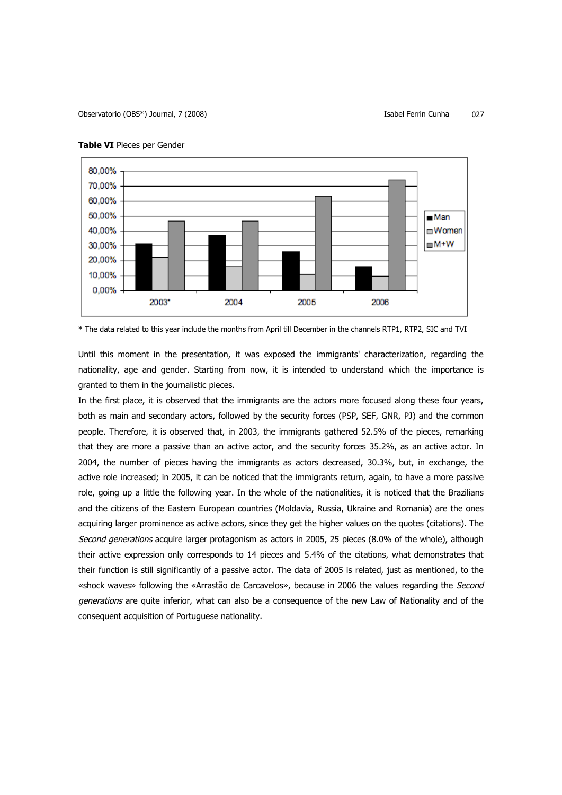

### **Table VI** Pieces per Gender

\* The data related to this year include the months from April till December in the channels RTP1, RTP2, SIC and TVI

Until this moment in the presentation, it was exposed the immigrants' characterization, regarding the nationality, age and gender. Starting from now, it is intended to understand which the importance is granted to them in the journalistic pieces.

In the first place, it is observed that the immigrants are the actors more focused along these four years, both as main and secondary actors, followed by the security forces (PSP, SEF, GNR, PJ) and the common people. Therefore, it is observed that, in 2003, the immigrants gathered 52.5% of the pieces, remarking that they are more a passive than an active actor, and the security forces 35.2%, as an active actor. In 2004, the number of pieces having the immigrants as actors decreased, 30.3%, but, in exchange, the active role increased; in 2005, it can be noticed that the immigrants return, again, to have a more passive role, going up a little the following year. In the whole of the nationalities, it is noticed that the Brazilians and the citizens of the Eastern European countries (Moldavia, Russia, Ukraine and Romania) are the ones acquiring larger prominence as active actors, since they get the higher values on the quotes (citations). The Second generations acquire larger protagonism as actors in 2005, 25 pieces (8.0% of the whole), although their active expression only corresponds to 14 pieces and 5.4% of the citations, what demonstrates that their function is still significantly of a passive actor. The data of 2005 is related, just as mentioned, to the «shock waves» following the «Arrastão de Carcavelos», because in 2006 the values regarding the Second generations are quite inferior, what can also be a consequence of the new Law of Nationality and of the consequent acquisition of Portuguese nationality.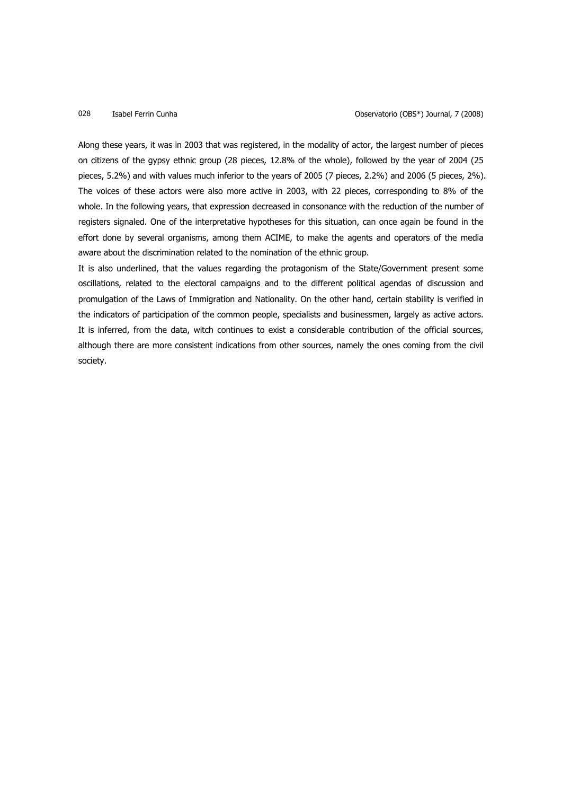Along these years, it was in 2003 that was registered, in the modality of actor, the largest number of pieces on citizens of the gypsy ethnic group (28 pieces, 12.8% of the whole), followed by the year of 2004 (25 pieces, 5.2%) and with values much inferior to the years of 2005 (7 pieces, 2.2%) and 2006 (5 pieces, 2%). The voices of these actors were also more active in 2003, with 22 pieces, corresponding to 8% of the whole. In the following years, that expression decreased in consonance with the reduction of the number of registers signaled. One of the interpretative hypotheses for this situation, can once again be found in the effort done by several organisms, among them ACIME, to make the agents and operators of the media aware about the discrimination related to the nomination of the ethnic group.

It is also underlined, that the values regarding the protagonism of the State/Government present some oscillations, related to the electoral campaigns and to the different political agendas of discussion and promulgation of the Laws of Immigration and Nationality. On the other hand, certain stability is verified in the indicators of participation of the common people, specialists and businessmen, largely as active actors. It is inferred, from the data, witch continues to exist a considerable contribution of the official sources, although there are more consistent indications from other sources, namely the ones coming from the civil society.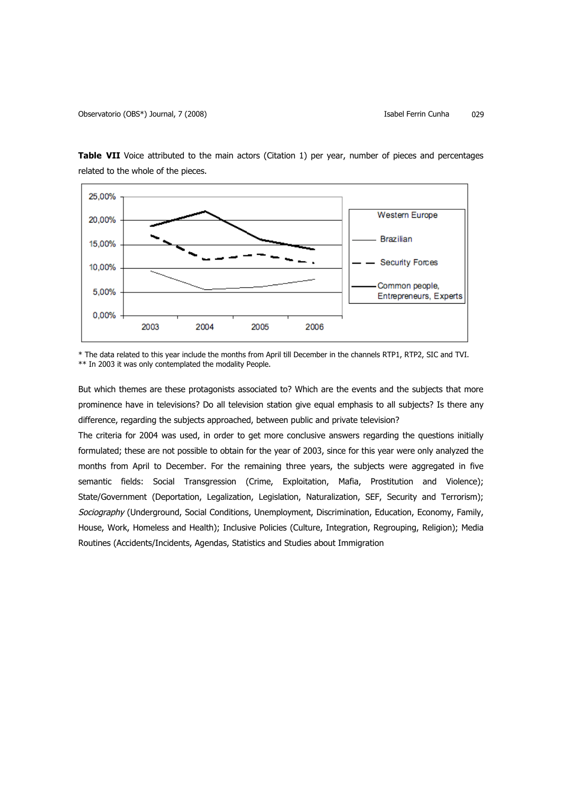

**Table VII** Voice attributed to the main actors (Citation 1) per year, number of pieces and percentages related to the whole of the pieces.

\* The data related to this year include the months from April till December in the channels RTP1, RTP2, SIC and TVI. \*\* In 2003 it was only contemplated the modality People.

But which themes are these protagonists associated to? Which are the events and the subjects that more prominence have in televisions? Do all television station give equal emphasis to all subjects? Is there any difference, regarding the subjects approached, between public and private television?

The criteria for 2004 was used, in order to get more conclusive answers regarding the questions initially formulated; these are not possible to obtain for the year of 2003, since for this year were only analyzed the months from April to December. For the remaining three years, the subjects were aggregated in five semantic fields: Social Transgression (Crime, Exploitation, Mafia, Prostitution and Violence); State/Government (Deportation, Legalization, Legislation, Naturalization, SEF, Security and Terrorism); Sociography (Underground, Social Conditions, Unemployment, Discrimination, Education, Economy, Family, House, Work, Homeless and Health); Inclusive Policies (Culture, Integration, Regrouping, Religion); Media Routines (Accidents/Incidents, Agendas, Statistics and Studies about Immigration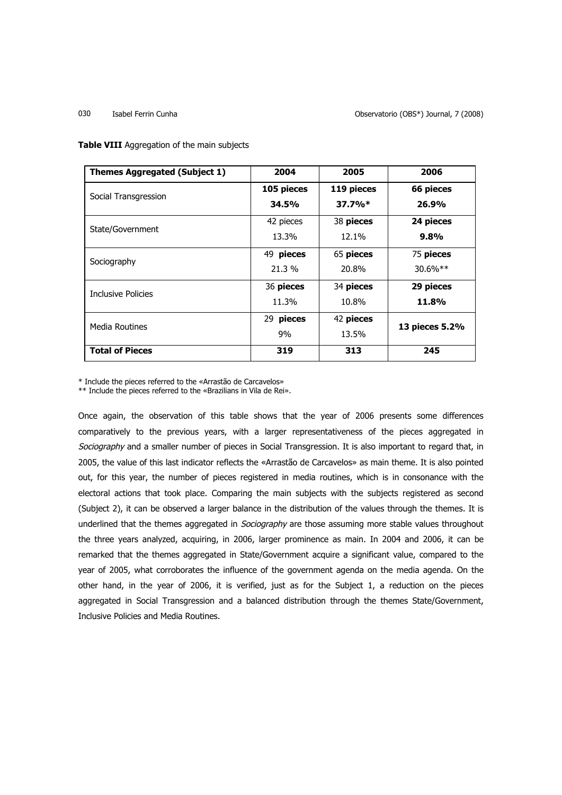030 Isabel Ferrin Cunha Observatorio (OBS\*) Journal, 7 (2008)

**Table VIII** Aggregation of the main subjects

| <b>Themes Aggregated (Subject 1)</b> | 2004          | 2005       | 2006           |
|--------------------------------------|---------------|------------|----------------|
| Social Transgression                 | 105 pieces    | 119 pieces | 66 pieces      |
|                                      | 34.5%         | $37.7\%*$  | 26.9%          |
| State/Government                     | 42 pieces     | 38 pieces  | 24 pieces      |
|                                      | 13.3%         | 12.1%      | $9.8\%$        |
|                                      | 49 pieces     | 65 pieces  | 75 pieces      |
| Sociography                          | 21.3 %        | 20.8%      | $30.6\%**$     |
| <b>Inclusive Policies</b>            | 36 pieces     | 34 pieces  | 29 pieces      |
|                                      | 11.3%         | 10.8%      | 11.8%          |
| <b>Media Routines</b>                | pieces<br>29. | 42 pieces  | 13 pieces 5.2% |
|                                      | 9%            | 13.5%      |                |
| <b>Total of Pieces</b>               | 319           | 313        | 245            |

\* Include the pieces referred to the «Arrastão de Carcavelos»

\*\* Include the pieces referred to the «Brazilians in Vila de Rei».

Once again, the observation of this table shows that the year of 2006 presents some differences comparatively to the previous years, with a larger representativeness of the pieces aggregated in Sociography and a smaller number of pieces in Social Transgression. It is also important to regard that, in 2005, the value of this last indicator reflects the «Arrastão de Carcavelos» as main theme. It is also pointed out, for this year, the number of pieces registered in media routines, which is in consonance with the electoral actions that took place. Comparing the main subjects with the subjects registered as second (Subject 2), it can be observed a larger balance in the distribution of the values through the themes. It is underlined that the themes aggregated in *Sociography* are those assuming more stable values throughout the three years analyzed, acquiring, in 2006, larger prominence as main. In 2004 and 2006, it can be remarked that the themes aggregated in State/Government acquire a significant value, compared to the year of 2005, what corroborates the influence of the government agenda on the media agenda. On the other hand, in the year of 2006, it is verified, just as for the Subject 1, a reduction on the pieces aggregated in Social Transgression and a balanced distribution through the themes State/Government, Inclusive Policies and Media Routines.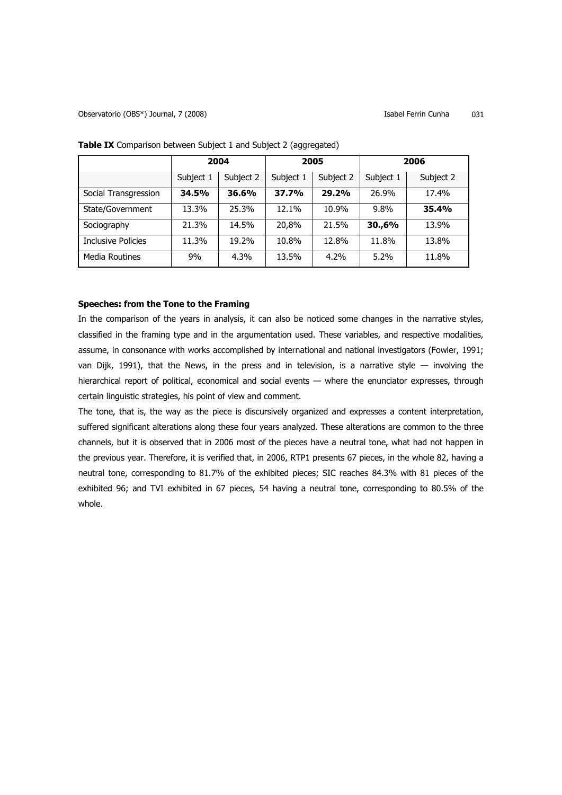|                           | 2004      |           | 2005      |           | 2006      |              |
|---------------------------|-----------|-----------|-----------|-----------|-----------|--------------|
|                           | Subject 1 | Subject 2 | Subject 1 | Subject 2 | Subject 1 | Subject 2    |
| Social Transgression      | 34.5%     | 36.6%     | 37.7%     | 29.2%     | 26.9%     | 17.4%        |
| State/Government          | 13.3%     | 25.3%     | 12.1%     | 10.9%     | 9.8%      | <b>35.4%</b> |
| Sociography               | 21.3%     | 14.5%     | 20,8%     | 21.5%     | 30.,6%    | 13.9%        |
| <b>Inclusive Policies</b> | 11.3%     | 19.2%     | 10.8%     | 12.8%     | 11.8%     | 13.8%        |
| Media Routines            | 9%        | $4.3\%$   | 13.5%     | $4.2\%$   | 5.2%      | 11.8%        |

**Table IX** Comparison between Subject 1 and Subject 2 (aggregated)

# **Speeches: from the Tone to the Framing**

In the comparison of the years in analysis, it can also be noticed some changes in the narrative styles, classified in the framing type and in the argumentation used. These variables, and respective modalities, assume, in consonance with works accomplished by international and national investigators (Fowler, 1991; van Dijk, 1991), that the News, in the press and in television, is a narrative style — involving the hierarchical report of political, economical and social events — where the enunciator expresses, through certain linguistic strategies, his point of view and comment.

The tone, that is, the way as the piece is discursively organized and expresses a content interpretation, suffered significant alterations along these four years analyzed. These alterations are common to the three channels, but it is observed that in 2006 most of the pieces have a neutral tone, what had not happen in the previous year. Therefore, it is verified that, in 2006, RTP1 presents 67 pieces, in the whole 82, having a neutral tone, corresponding to 81.7% of the exhibited pieces; SIC reaches 84.3% with 81 pieces of the exhibited 96; and TVI exhibited in 67 pieces, 54 having a neutral tone, corresponding to 80.5% of the whole.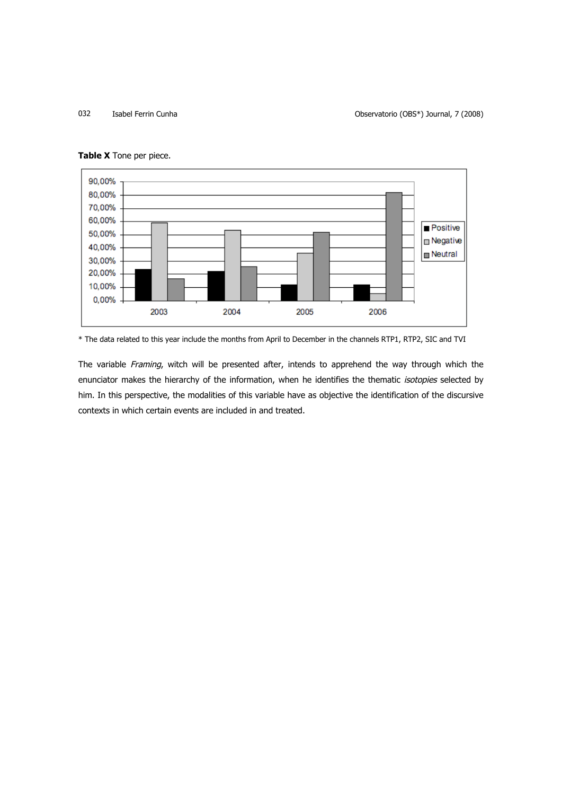032 Isabel Ferrin Cunha Observatorio (OBS\*) Journal, 7 (2008)



**Table X** Tone per piece.

\* The data related to this year include the months from April to December in the channels RTP1, RTP2, SIC and TVI

The variable Framing, witch will be presented after, intends to apprehend the way through which the enunciator makes the hierarchy of the information, when he identifies the thematic isotopies selected by him. In this perspective, the modalities of this variable have as objective the identification of the discursive contexts in which certain events are included in and treated.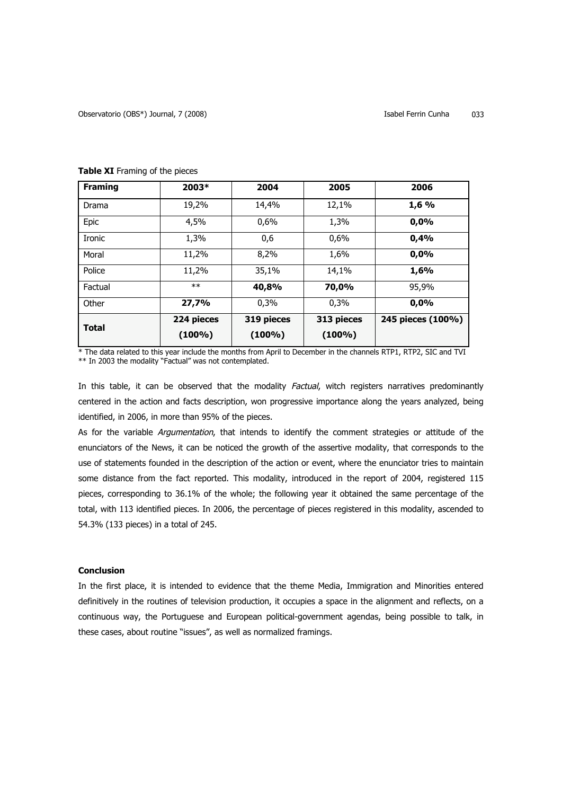| <b>Framing</b> | 2003*                   | 2004                    | 2005                    | 2006              |
|----------------|-------------------------|-------------------------|-------------------------|-------------------|
| Drama          | 19,2%                   | 14,4%                   | 12,1%                   | 1,6%              |
| Epic           | 4,5%                    | 0,6%                    | 1,3%                    | 0,0%              |
| <b>Ironic</b>  | 1,3%                    | 0,6                     | 0,6%                    | 0,4%              |
| Moral          | 11,2%                   | 8,2%                    | 1,6%                    | 0,0%              |
| Police         | 11,2%                   | 35,1%                   | 14,1%                   | 1,6%              |
| Factual        | $**$                    | 40,8%                   | 70,0%                   | 95,9%             |
| Other          | 27,7%                   | 0,3%                    | 0,3%                    | 0,0%              |
| <b>Total</b>   | 224 pieces<br>$(100\%)$ | 319 pieces<br>$(100\%)$ | 313 pieces<br>$(100\%)$ | 245 pieces (100%) |

# **Table XI** Framing of the pieces

\* The data related to this year include the months from April to December in the channels RTP1, RTP2, SIC and TVI \*\* In 2003 the modality "Factual" was not contemplated.

In this table, it can be observed that the modality Factual, witch registers narratives predominantly centered in the action and facts description, won progressive importance along the years analyzed, being identified, in 2006, in more than 95% of the pieces.

As for the variable Argumentation, that intends to identify the comment strategies or attitude of the enunciators of the News, it can be noticed the growth of the assertive modality, that corresponds to the use of statements founded in the description of the action or event, where the enunciator tries to maintain some distance from the fact reported. This modality, introduced in the report of 2004, registered 115 pieces, corresponding to 36.1% of the whole; the following year it obtained the same percentage of the total, with 113 identified pieces. In 2006, the percentage of pieces registered in this modality, ascended to 54.3% (133 pieces) in a total of 245.

### **Conclusion**

In the first place, it is intended to evidence that the theme Media, Immigration and Minorities entered definitively in the routines of television production, it occupies a space in the alignment and reflects, on a continuous way, the Portuguese and European political-government agendas, being possible to talk, in these cases, about routine "issues", as well as normalized framings.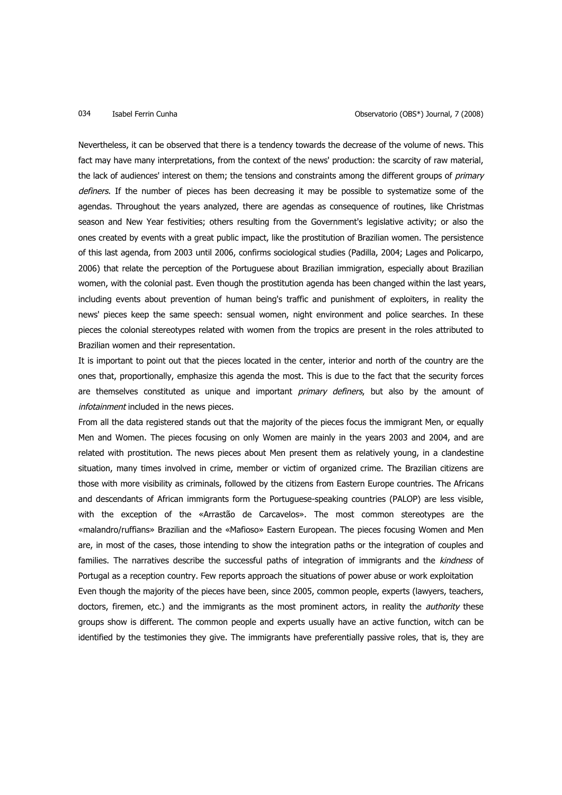Nevertheless, it can be observed that there is a tendency towards the decrease of the volume of news. This fact may have many interpretations, from the context of the news' production: the scarcity of raw material, the lack of audiences' interest on them; the tensions and constraints among the different groups of *primary* definers. If the number of pieces has been decreasing it may be possible to systematize some of the agendas. Throughout the years analyzed, there are agendas as consequence of routines, like Christmas season and New Year festivities; others resulting from the Government's legislative activity; or also the ones created by events with a great public impact, like the prostitution of Brazilian women. The persistence of this last agenda, from 2003 until 2006, confirms sociological studies (Padilla, 2004; Lages and Policarpo, 2006) that relate the perception of the Portuguese about Brazilian immigration, especially about Brazilian women, with the colonial past. Even though the prostitution agenda has been changed within the last years, including events about prevention of human being's traffic and punishment of exploiters, in reality the news' pieces keep the same speech: sensual women, night environment and police searches. In these pieces the colonial stereotypes related with women from the tropics are present in the roles attributed to Brazilian women and their representation.

It is important to point out that the pieces located in the center, interior and north of the country are the ones that, proportionally, emphasize this agenda the most. This is due to the fact that the security forces are themselves constituted as unique and important *primary definers*, but also by the amount of infotainment included in the news pieces.

From all the data registered stands out that the majority of the pieces focus the immigrant Men, or equally Men and Women. The pieces focusing on only Women are mainly in the years 2003 and 2004, and are related with prostitution. The news pieces about Men present them as relatively young, in a clandestine situation, many times involved in crime, member or victim of organized crime. The Brazilian citizens are those with more visibility as criminals, followed by the citizens from Eastern Europe countries. The Africans and descendants of African immigrants form the Portuguese-speaking countries (PALOP) are less visible, with the exception of the «Arrastão de Carcavelos». The most common stereotypes are the «malandro/ruffians» Brazilian and the «Mafioso» Eastern European. The pieces focusing Women and Men are, in most of the cases, those intending to show the integration paths or the integration of couples and families. The narratives describe the successful paths of integration of immigrants and the kindness of Portugal as a reception country. Few reports approach the situations of power abuse or work exploitation

Even though the majority of the pieces have been, since 2005, common people, experts (lawyers, teachers, doctors, firemen, etc.) and the immigrants as the most prominent actors, in reality the *authority* these groups show is different. The common people and experts usually have an active function, witch can be identified by the testimonies they give. The immigrants have preferentially passive roles, that is, they are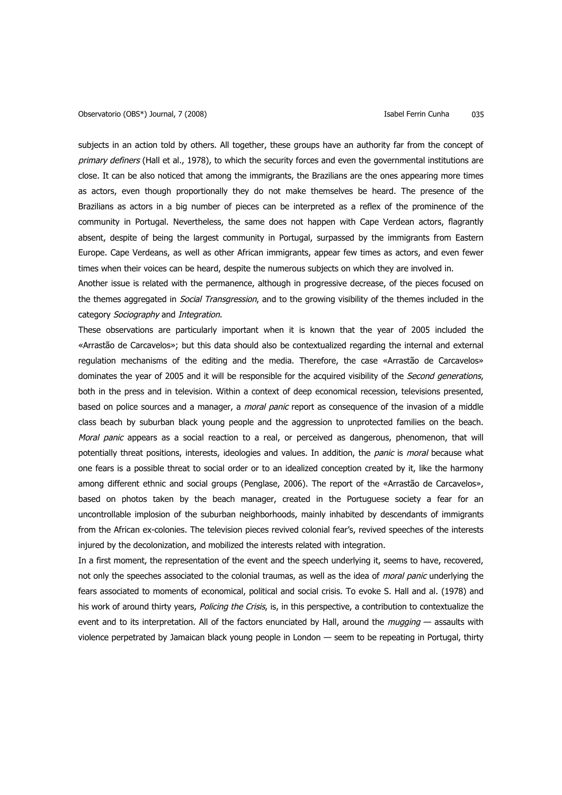subjects in an action told by others. All together, these groups have an authority far from the concept of primary definers (Hall et al., 1978), to which the security forces and even the governmental institutions are close. It can be also noticed that among the immigrants, the Brazilians are the ones appearing more times as actors, even though proportionally they do not make themselves be heard. The presence of the Brazilians as actors in a big number of pieces can be interpreted as a reflex of the prominence of the community in Portugal. Nevertheless, the same does not happen with Cape Verdean actors, flagrantly absent, despite of being the largest community in Portugal, surpassed by the immigrants from Eastern Europe. Cape Verdeans, as well as other African immigrants, appear few times as actors, and even fewer times when their voices can be heard, despite the numerous subjects on which they are involved in.

Another issue is related with the permanence, although in progressive decrease, of the pieces focused on the themes aggregated in *Social Transgression*, and to the growing visibility of the themes included in the category Sociography and Integration.

These observations are particularly important when it is known that the year of 2005 included the «Arrastão de Carcavelos»; but this data should also be contextualized regarding the internal and external regulation mechanisms of the editing and the media. Therefore, the case «Arrastão de Carcavelos» dominates the year of 2005 and it will be responsible for the acquired visibility of the Second generations, both in the press and in television. Within a context of deep economical recession, televisions presented, based on police sources and a manager, a moral panic report as consequence of the invasion of a middle class beach by suburban black young people and the aggression to unprotected families on the beach. Moral panic appears as a social reaction to a real, or perceived as dangerous, phenomenon, that will potentially threat positions, interests, ideologies and values. In addition, the *panic* is *moral* because what one fears is a possible threat to social order or to an idealized conception created by it, like the harmony among different ethnic and social groups (Penglase, 2006). The report of the «Arrastão de Carcavelos», based on photos taken by the beach manager, created in the Portuguese society a fear for an uncontrollable implosion of the suburban neighborhoods, mainly inhabited by descendants of immigrants from the African ex-colonies. The television pieces revived colonial fear's, revived speeches of the interests injured by the decolonization, and mobilized the interests related with integration.

In a first moment, the representation of the event and the speech underlying it, seems to have, recovered, not only the speeches associated to the colonial traumas, as well as the idea of moral panic underlying the fears associated to moments of economical, political and social crisis. To evoke S. Hall and al. (1978) and his work of around thirty years, Policing the Crisis, is, in this perspective, a contribution to contextualize the event and to its interpretation. All of the factors enunciated by Hall, around the *mugging* — assaults with violence perpetrated by Jamaican black young people in London — seem to be repeating in Portugal, thirty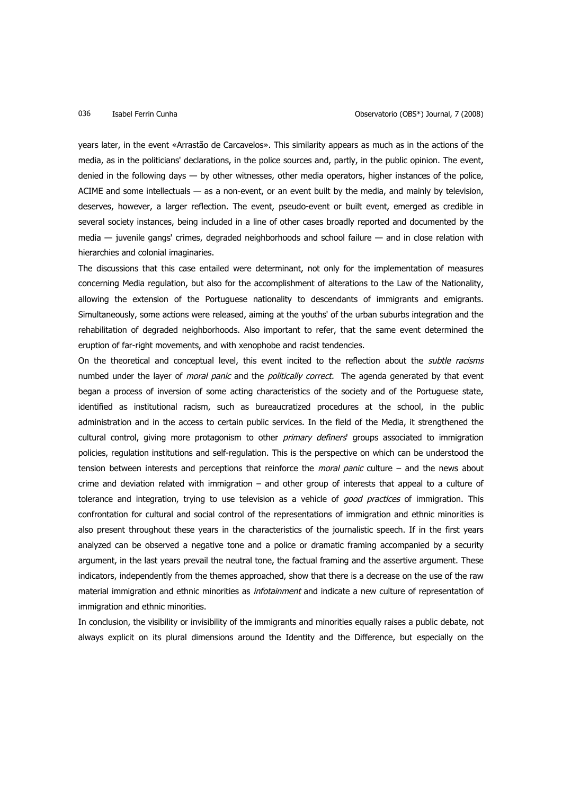years later, in the event «Arrastão de Carcavelos». This similarity appears as much as in the actions of the media, as in the politicians' declarations, in the police sources and, partly, in the public opinion. The event, denied in the following days — by other witnesses, other media operators, higher instances of the police, ACIME and some intellectuals — as a non-event, or an event built by the media, and mainly by television, deserves, however, a larger reflection. The event, pseudo-event or built event, emerged as credible in several society instances, being included in a line of other cases broadly reported and documented by the media — juvenile gangs' crimes, degraded neighborhoods and school failure — and in close relation with hierarchies and colonial imaginaries.

The discussions that this case entailed were determinant, not only for the implementation of measures concerning Media regulation, but also for the accomplishment of alterations to the Law of the Nationality, allowing the extension of the Portuguese nationality to descendants of immigrants and emigrants. Simultaneously, some actions were released, aiming at the youths' of the urban suburbs integration and the rehabilitation of degraded neighborhoods. Also important to refer, that the same event determined the eruption of far-right movements, and with xenophobe and racist tendencies.

On the theoretical and conceptual level, this event incited to the reflection about the *subtle racisms* numbed under the layer of *moral panic* and the *politically correct*. The agenda generated by that event began a process of inversion of some acting characteristics of the society and of the Portuguese state, identified as institutional racism, such as bureaucratized procedures at the school, in the public administration and in the access to certain public services. In the field of the Media, it strengthened the cultural control, giving more protagonism to other *primary definers* groups associated to immigration policies, regulation institutions and self-regulation. This is the perspective on which can be understood the tension between interests and perceptions that reinforce the *moral panic* culture – and the news about crime and deviation related with immigration – and other group of interests that appeal to a culture of tolerance and integration, trying to use television as a vehicle of good practices of immigration. This confrontation for cultural and social control of the representations of immigration and ethnic minorities is also present throughout these years in the characteristics of the journalistic speech. If in the first years analyzed can be observed a negative tone and a police or dramatic framing accompanied by a security argument, in the last years prevail the neutral tone, the factual framing and the assertive argument. These indicators, independently from the themes approached, show that there is a decrease on the use of the raw material immigration and ethnic minorities as *infotainment* and indicate a new culture of representation of immigration and ethnic minorities.

In conclusion, the visibility or invisibility of the immigrants and minorities equally raises a public debate, not always explicit on its plural dimensions around the Identity and the Difference, but especially on the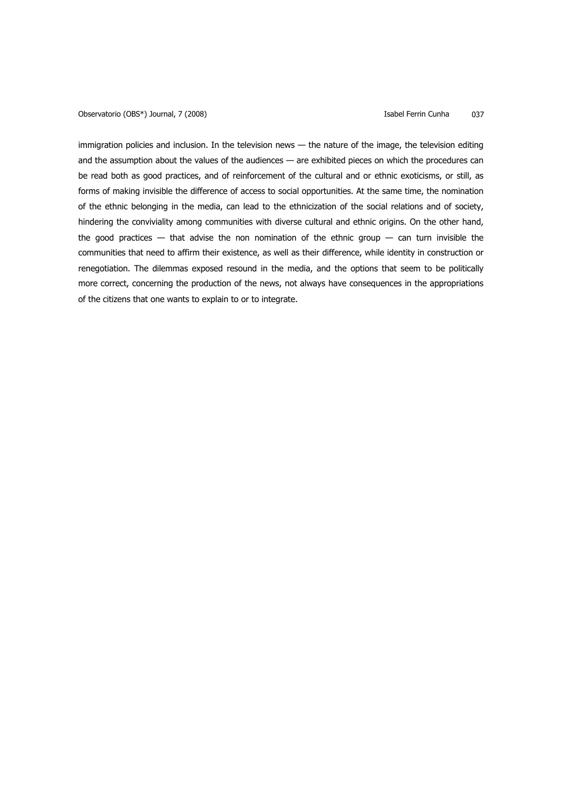Observatorio (OBS\*) Journal, 7 (2008) **Isabel Ferrin Cunha** 037

immigration policies and inclusion. In the television news — the nature of the image, the television editing and the assumption about the values of the audiences — are exhibited pieces on which the procedures can be read both as good practices, and of reinforcement of the cultural and or ethnic exoticisms, or still, as forms of making invisible the difference of access to social opportunities. At the same time, the nomination of the ethnic belonging in the media, can lead to the ethnicization of the social relations and of society, hindering the conviviality among communities with diverse cultural and ethnic origins. On the other hand, the good practices  $-$  that advise the non nomination of the ethnic group  $-$  can turn invisible the communities that need to affirm their existence, as well as their difference, while identity in construction or renegotiation. The dilemmas exposed resound in the media, and the options that seem to be politically more correct, concerning the production of the news, not always have consequences in the appropriations of the citizens that one wants to explain to or to integrate.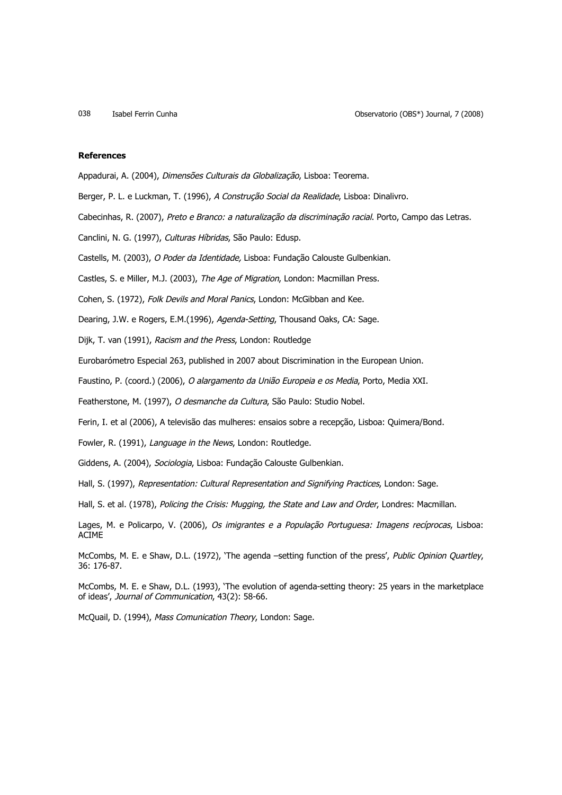# **References**

Appadurai, A. (2004), Dimensões Culturais da Globalização, Lisboa: Teorema.

Berger, P. L. e Luckman, T. (1996), A Construção Social da Realidade, Lisboa: Dinalivro.

Cabecinhas, R. (2007), Preto e Branco: a naturalização da discriminação racial. Porto, Campo das Letras.

Canclini, N. G. (1997), Culturas Híbridas, São Paulo: Edusp.

Castells, M. (2003), O Poder da Identidade, Lisboa: Fundação Calouste Gulbenkian.

Castles, S. e Miller, M.J. (2003), The Age of Migration, London: Macmillan Press.

Cohen, S. (1972), Folk Devils and Moral Panics, London: McGibban and Kee.

Dearing, J.W. e Rogers, E.M.(1996), Agenda-Setting, Thousand Oaks, CA: Sage.

Dijk, T. van (1991), Racism and the Press, London: Routledge

Eurobarómetro Especial 263, published in 2007 about Discrimination in the European Union.

Faustino, P. (coord.) (2006), O alargamento da União Europeia e os Media, Porto, Media XXI.

Featherstone, M. (1997), O desmanche da Cultura, São Paulo: Studio Nobel.

Ferin, I. et al (2006), A televisão das mulheres: ensaios sobre a recepção, Lisboa: Quimera/Bond.

Fowler, R. (1991), Language in the News, London: Routledge.

Giddens, A. (2004), Sociologia, Lisboa: Fundação Calouste Gulbenkian.

Hall, S. (1997), Representation: Cultural Representation and Signifying Practices, London: Sage.

Hall, S. et al. (1978), Policing the Crisis: Mugging, the State and Law and Order, Londres: Macmillan.

Lages, M. e Policarpo, V. (2006), Os imigrantes e a População Portuguesa: Imagens recíprocas, Lisboa: ACIME

McCombs, M. E. e Shaw, D.L. (1972), 'The agenda -setting function of the press', Public Opinion Quartley, 36: 176-87.

McCombs, M. E. e Shaw, D.L. (1993), 'The evolution of agenda-setting theory: 25 years in the marketplace of ideas', Journal of Communication, 43(2): 58-66.

McQuail, D. (1994), Mass Comunication Theory, London: Sage.